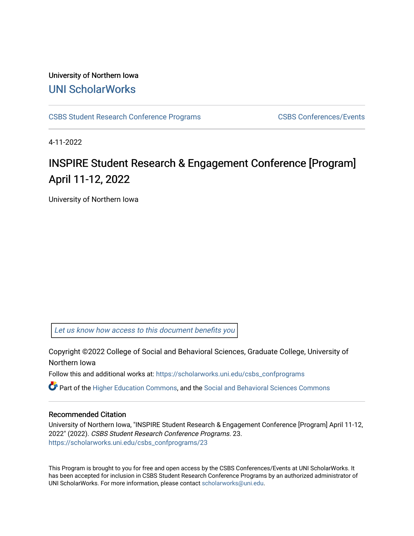## University of Northern Iowa [UNI ScholarWorks](https://scholarworks.uni.edu/)

[CSBS Student Research Conference Programs](https://scholarworks.uni.edu/csbs_confprograms) [CSBS Conferences/Events](https://scholarworks.uni.edu/csbsevents) 

4-11-2022

# **INSPIRE Student Research & Engagement Conference [Program]** April 11-12, 2022

University of Northern Iowa

[Let us know how access to this document benefits you](https://scholarworks.uni.edu/feedback_form.html) 

Copyright ©2022 College of Social and Behavioral Sciences, Graduate College, University of Northern Iowa

Follow this and additional works at: [https://scholarworks.uni.edu/csbs\\_confprograms](https://scholarworks.uni.edu/csbs_confprograms?utm_source=scholarworks.uni.edu%2Fcsbs_confprograms%2F23&utm_medium=PDF&utm_campaign=PDFCoverPages) 

Part of the [Higher Education Commons,](http://network.bepress.com/hgg/discipline/1245?utm_source=scholarworks.uni.edu%2Fcsbs_confprograms%2F23&utm_medium=PDF&utm_campaign=PDFCoverPages) and the [Social and Behavioral Sciences Commons](http://network.bepress.com/hgg/discipline/316?utm_source=scholarworks.uni.edu%2Fcsbs_confprograms%2F23&utm_medium=PDF&utm_campaign=PDFCoverPages)

## Recommended Citation

University of Northern Iowa, "INSPIRE Student Research & Engagement Conference [Program] April 11-12, 2022" (2022). CSBS Student Research Conference Programs. 23. [https://scholarworks.uni.edu/csbs\\_confprograms/23](https://scholarworks.uni.edu/csbs_confprograms/23?utm_source=scholarworks.uni.edu%2Fcsbs_confprograms%2F23&utm_medium=PDF&utm_campaign=PDFCoverPages)

This Program is brought to you for free and open access by the CSBS Conferences/Events at UNI ScholarWorks. It has been accepted for inclusion in CSBS Student Research Conference Programs by an authorized administrator of UNI ScholarWorks. For more information, please contact [scholarworks@uni.edu.](mailto:scholarworks@uni.edu)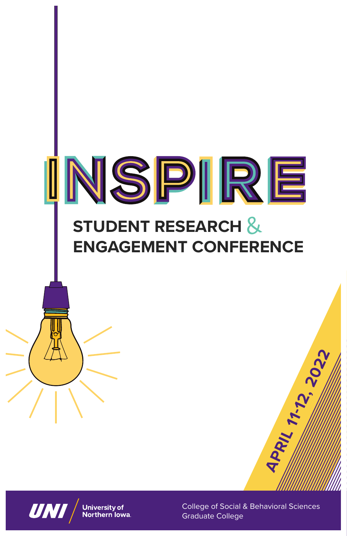



College of Social & Behavioral Sciences Graduate College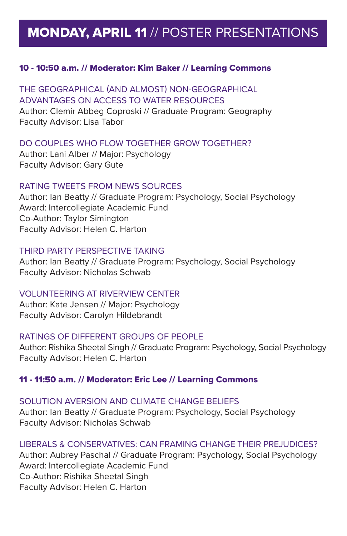# MONDAY, APRIL 11 // POSTER PRESENTATIONS

#### 10 - 10:50 a.m. // Moderator: Kim Baker // Learning Commons

THE GEOGRAPHICAL (AND ALMOST) NON-GEOGRAPHICAL ADVANTAGES ON ACCESS TO WATER RESOURCES Author: Clemir Abbeg Coproski // Graduate Program: Geography Faculty Advisor: Lisa Tabor

#### DO COUPLES WHO FLOW TOGETHER GROW TOGETHER?

Author: Lani Alber // Major: Psychology Faculty Advisor: Gary Gute

#### RATING TWEETS FROM NEWS SOURCES

Author: Ian Beatty // Graduate Program: Psychology, Social Psychology Award: Intercollegiate Academic Fund Co-Author: Taylor Simington Faculty Advisor: Helen C. Harton

#### THIRD PARTY PERSPECTIVE TAKING

Author: Ian Beatty // Graduate Program: Psychology, Social Psychology Faculty Advisor: Nicholas Schwab

#### VOLUNTEERING AT RIVERVIEW CENTER

Author: Kate Jensen // Major: Psychology Faculty Advisor: Carolyn Hildebrandt

#### RATINGS OF DIFFERENT GROUPS OF PEOPLE

Author: Rishika Sheetal Singh // Graduate Program: Psychology, Social Psychology Faculty Advisor: Helen C. Harton

#### 11 - 11:50 a.m. // Moderator: Eric Lee // Learning Commons

#### SOLUTION AVERSION AND CLIMATE CHANGE BELIEFS

Author: Ian Beatty // Graduate Program: Psychology, Social Psychology Faculty Advisor: Nicholas Schwab

#### LIBERALS & CONSERVATIVES: CAN FRAMING CHANGE THEIR PREJUDICES?

Author: Aubrey Paschal // Graduate Program: Psychology, Social Psychology Award: Intercollegiate Academic Fund Co-Author: Rishika Sheetal Singh Faculty Advisor: Helen C. Harton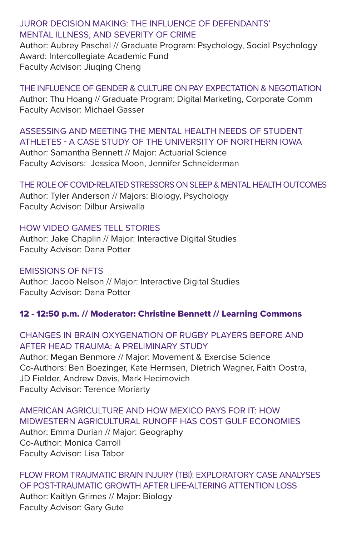## JUROR DECISION MAKING: THE INFLUENCE OF DEFENDANTS' MENTAL ILLNESS, AND SEVERITY OF CRIME

Author: Aubrey Paschal // Graduate Program: Psychology, Social Psychology Award: Intercollegiate Academic Fund Faculty Advisor: Jiuqing Cheng

THE INFLUENCE OF GENDER & CULTURE ON PAY EXPECTATION & NEGOTIATION Author: Thu Hoang // Graduate Program: Digital Marketing, Corporate Comm Faculty Advisor: Michael Gasser

#### ASSESSING AND MEETING THE MENTAL HEALTH NEEDS OF STUDENT ATHLETES - A CASE STUDY OF THE UNIVERSITY OF NORTHERN IOWA Author: Samantha Bennett // Major: Actuarial Science

Faculty Advisors: Jessica Moon, Jennifer Schneiderman

#### THE ROLE OF COVID-RELATED STRESSORS ON SLEEP & MENTAL HEALTH OUTCOMES

Author: Tyler Anderson // Majors: Biology, Psychology Faculty Advisor: Dilbur Arsiwalla

## HOW VIDEO GAMES TELL STORIES

Author: Jake Chaplin // Major: Interactive Digital Studies Faculty Advisor: Dana Potter

#### EMISSIONS OF NFTS Author: Jacob Nelson // Major: Interactive Digital Studies Faculty Advisor: Dana Potter

## 12 - 12:50 p.m. // Moderator: Christine Bennett // Learning Commons

## CHANGES IN BRAIN OXYGENATION OF RUGBY PLAYERS BEFORE AND AFTER HEAD TRAUMA: A PRELIMINARY STUDY

Author: Megan Benmore // Major: Movement & Exercise Science Co-Authors: Ben Boezinger, Kate Hermsen, Dietrich Wagner, Faith Oostra, JD Fielder, Andrew Davis, Mark Hecimovich Faculty Advisor: Terence Moriarty

AMERICAN AGRICULTURE AND HOW MEXICO PAYS FOR IT: HOW MIDWESTERN AGRICULTURAL RUNOFF HAS COST GULF ECONOMIES Author: Emma Durian // Major: Geography Co-Author: Monica Carroll Faculty Advisor: Lisa Tabor

## FLOW FROM TRAUMATIC BRAIN INJURY (TBI): EXPLORATORY CASE ANALYSES OF POST-TRAUMATIC GROWTH AFTER LIFE-ALTERING ATTENTION LOSS Author: Kaitlyn Grimes // Major: Biology Faculty Advisor: Gary Gute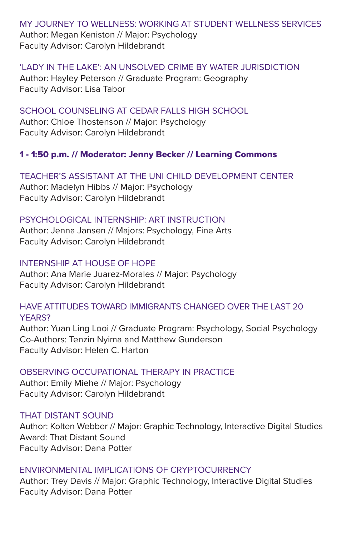MY JOURNEY TO WELLNESS: WORKING AT STUDENT WELLNESS SERVICES Author: Megan Keniston // Major: Psychology Faculty Advisor: Carolyn Hildebrandt

'LADY IN THE LAKE': AN UNSOLVED CRIME BY WATER JURISDICTION Author: Hayley Peterson // Graduate Program: Geography Faculty Advisor: Lisa Tabor

SCHOOL COUNSELING AT CEDAR FALLS HIGH SCHOOL Author: Chloe Thostenson // Major: Psychology Faculty Advisor: Carolyn Hildebrandt

## 1 - 1:50 p.m. // Moderator: Jenny Becker // Learning Commons

TEACHER'S ASSISTANT AT THE UNI CHILD DEVELOPMENT CENTER Author: Madelyn Hibbs // Major: Psychology Faculty Advisor: Carolyn Hildebrandt

#### PSYCHOLOGICAL INTERNSHIP: ART INSTRUCTION

Author: Jenna Jansen // Majors: Psychology, Fine Arts Faculty Advisor: Carolyn Hildebrandt

#### INTERNSHIP AT HOUSE OF HOPE

Author: Ana Marie Juarez-Morales // Major: Psychology Faculty Advisor: Carolyn Hildebrandt

## HAVE ATTITUDES TOWARD IMMIGRANTS CHANGED OVER THE LAST 20 YEARS?

Author: Yuan Ling Looi // Graduate Program: Psychology, Social Psychology Co-Authors: Tenzin Nyima and Matthew Gunderson Faculty Advisor: Helen C. Harton

## OBSERVING OCCUPATIONAL THERAPY IN PRACTICE

Author: Emily Miehe // Major: Psychology Faculty Advisor: Carolyn Hildebrandt

#### THAT DISTANT SOUND

Author: Kolten Webber // Major: Graphic Technology, Interactive Digital Studies Award: That Distant Sound Faculty Advisor: Dana Potter

## ENVIRONMENTAL IMPLICATIONS OF CRYPTOCURRENCY

Author: Trey Davis // Major: Graphic Technology, Interactive Digital Studies Faculty Advisor: Dana Potter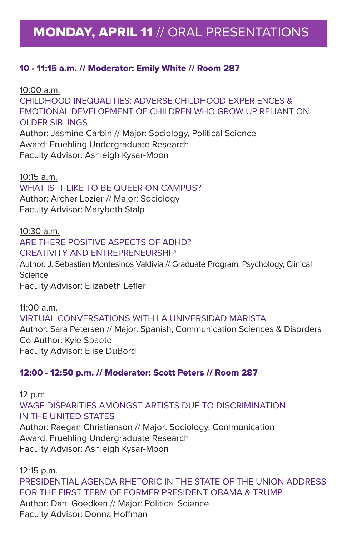# MONDAY, APRIL 11 // ORAL PRESENTATIONS

### 10 - 11:15 a.m. // Moderator: Emily White // Room 287

10:00 a.m. CHILDHOOD INEQUALITIES: ADVERSE CHILDHOOD EXPERIENCES & EMOTIONAL DEVELOPMENT OF CHILDREN WHO GROW UP RELIANT ON OLDER SIBLINGS Author: Jasmine Carbin // Major: Sociology, Political Science Award: Fruehling Undergraduate Research Faculty Advisor: Ashleigh Kysar-Moon

10:15 a.m. WHAT IS IT LIKE TO BE QUEER ON CAMPUS? Author: Archer Lozier // Major: Sociology Faculty Advisor: Marybeth Stalp

10:30 a.m. ARE THERE POSITIVE ASPECTS OF ADHD? CREATIVITY AND ENTREPRENEURSHIP

Author: J. Sebastian Montesinos Valdivia // Graduate Program: Psychology, Clinical Science Faculty Advisor: Elizabeth Lefler

11:00 a.m. VIRTUAL CONVERSATIONS WITH LA UNIVERSIDAD MARISTA Author: Sara Petersen // Major: Spanish, Communication Sciences & Disorders Co-Author: Kyle Spaete Faculty Advisor: Elise DuBord

#### 12:00 - 12:50 p.m. // Moderator: Scott Peters // Room 287

12 p.m. WAGE DISPARITIES AMONGST ARTISTS DUE TO DISCRIMINATION IN THE UNITED STATES Author: Raegan Christianson // Major: Sociology, Communication Award: Fruehling Undergraduate Research Faculty Advisor: Ashleigh Kysar-Moon

12:15 p.m. PRESIDENTIAL AGENDA RHETORIC IN THE STATE OF THE UNION ADDRESS FOR THE FIRST TERM OF FORMER PRESIDENT OBAMA & TRUMP Author: Dani Goedken // Major: Political Science

Faculty Advisor: Donna Hoffman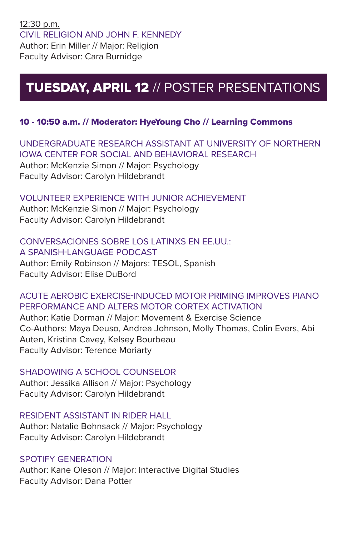# TUESDAY, APRIL 12 // POSTER PRESENTATIONS

## 10 - 10:50 a.m. // Moderator: HyeYoung Cho // Learning Commons

UNDERGRADUATE RESEARCH ASSISTANT AT UNIVERSITY OF NORTHERN IOWA CENTER FOR SOCIAL AND BEHAVIORAL RESEARCH Author: McKenzie Simon // Major: Psychology Faculty Advisor: Carolyn Hildebrandt

## VOLUNTEER EXPERIENCE WITH JUNIOR ACHIEVEMENT

Author: McKenzie Simon // Major: Psychology Faculty Advisor: Carolyn Hildebrandt

#### CONVERSACIONES SOBRE LOS LATINXS EN EE.UU.: A SPANISH-LANGUAGE PODCAST

Author: Emily Robinson // Majors: TESOL, Spanish Faculty Advisor: Elise DuBord

## ACUTE AEROBIC EXERCISE-INDUCED MOTOR PRIMING IMPROVES PIANO PERFORMANCE AND ALTERS MOTOR CORTEX ACTIVATION

Author: Katie Dorman // Major: Movement & Exercise Science Co-Authors: Maya Deuso, Andrea Johnson, Molly Thomas, Colin Evers, Abi Auten, Kristina Cavey, Kelsey Bourbeau Faculty Advisor: Terence Moriarty

## SHADOWING A SCHOOL COUNSELOR

Author: Jessika Allison // Major: Psychology Faculty Advisor: Carolyn Hildebrandt

## RESIDENT ASSISTANT IN RIDER HALL

Author: Natalie Bohnsack // Major: Psychology Faculty Advisor: Carolyn Hildebrandt

#### SPOTIFY GENERATION

Author: Kane Oleson // Major: Interactive Digital Studies Faculty Advisor: Dana Potter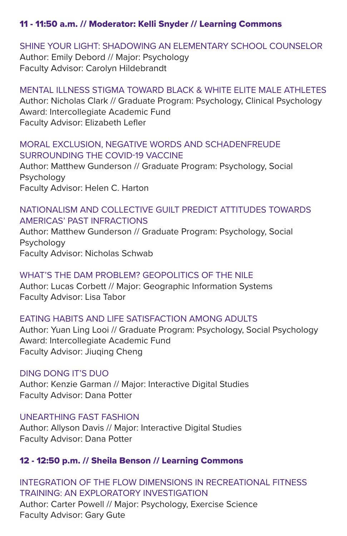## 11 - 11:50 a.m. // Moderator: Kelli Snyder // Learning Commons

#### SHINE YOUR LIGHT: SHADOWING AN ELEMENTARY SCHOOL COUNSELOR

Author: Emily Debord // Major: Psychology Faculty Advisor: Carolyn Hildebrandt

#### MENTAL ILLNESS STIGMA TOWARD BLACK & WHITE ELITE MALE ATHLETES Author: Nicholas Clark // Graduate Program: Psychology, Clinical Psychology Award: Intercollegiate Academic Fund Faculty Advisor: Elizabeth Lefler

### MORAL EXCLUSION, NEGATIVE WORDS AND SCHADENFREUDE SURROUNDING THE COVID-19 VACCINE

Author: Matthew Gunderson // Graduate Program: Psychology, Social Psychology Faculty Advisor: Helen C. Harton

## NATIONALISM AND COLLECTIVE GUILT PREDICT ATTITUDES TOWARDS AMERICAS' PAST INFRACTIONS

Author: Matthew Gunderson // Graduate Program: Psychology, Social Psychology Faculty Advisor: Nicholas Schwab

## WHAT'S THE DAM PROBLEM? GEOPOLITICS OF THE NILE

Author: Lucas Corbett // Major: Geographic Information Systems Faculty Advisor: Lisa Tabor

## EATING HABITS AND LIFE SATISFACTION AMONG ADULTS

Author: Yuan Ling Looi // Graduate Program: Psychology, Social Psychology Award: Intercollegiate Academic Fund Faculty Advisor: Jiuqing Cheng

## DING DONG IT'S DUO

Author: Kenzie Garman // Major: Interactive Digital Studies Faculty Advisor: Dana Potter

## UNEARTHING FAST FASHION

Author: Allyson Davis // Major: Interactive Digital Studies Faculty Advisor: Dana Potter

## 12 - 12:50 p.m. // Sheila Benson // Learning Commons

## INTEGRATION OF THE FLOW DIMENSIONS IN RECREATIONAL FITNESS TRAINING: AN EXPLORATORY INVESTIGATION Author: Carter Powell // Major: Psychology, Exercise Science Faculty Advisor: Gary Gute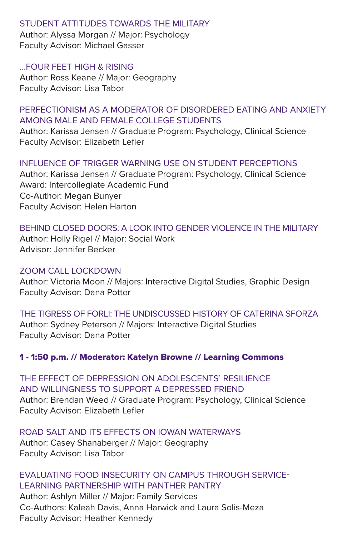#### STUDENT ATTITUDES TOWARDS THE MILITARY

Author: Alyssa Morgan // Major: Psychology Faculty Advisor: Michael Gasser

### …FOUR FEET HIGH & RISING

Author: Ross Keane // Major: Geography Faculty Advisor: Lisa Tabor

## PERFECTIONISM AS A MODERATOR OF DISORDERED EATING AND ANXIETY AMONG MALE AND FEMALE COLLEGE STUDENTS

Author: Karissa Jensen // Graduate Program: Psychology, Clinical Science Faculty Advisor: Elizabeth Lefler

## INFLUENCE OF TRIGGER WARNING USE ON STUDENT PERCEPTIONS

Author: Karissa Jensen // Graduate Program: Psychology, Clinical Science Award: Intercollegiate Academic Fund Co-Author: Megan Bunyer Faculty Advisor: Helen Harton

## BEHIND CLOSED DOORS: A LOOK INTO GENDER VIOLENCE IN THE MILITARY

Author: Holly Rigel // Major: Social Work Advisor: Jennifer Becker

## ZOOM CALL LOCKDOWN

Author: Victoria Moon // Majors: Interactive Digital Studies, Graphic Design Faculty Advisor: Dana Potter

THE TIGRESS OF FORLI: THE UNDISCUSSED HISTORY OF CATERINA SFORZA Author: Sydney Peterson // Majors: Interactive Digital Studies Faculty Advisor: Dana Potter

## 1 - 1:50 p.m. // Moderator: Katelyn Browne // Learning Commons

THE EFFECT OF DEPRESSION ON ADOLESCENTS' RESILIENCE AND WILLINGNESS TO SUPPORT A DEPRESSED FRIEND Author: Brendan Weed // Graduate Program: Psychology, Clinical Science Faculty Advisor: Elizabeth Lefler

## ROAD SALT AND ITS EFFECTS ON IOWAN WATERWAYS

Author: Casey Shanaberger // Major: Geography Faculty Advisor: Lisa Tabor

## EVALUATING FOOD INSECURITY ON CAMPUS THROUGH SERVICE-LEARNING PARTNERSHIP WITH PANTHER PANTRY

Author: Ashlyn Miller // Major: Family Services Co-Authors: Kaleah Davis, Anna Harwick and Laura Solis-Meza Faculty Advisor: Heather Kennedy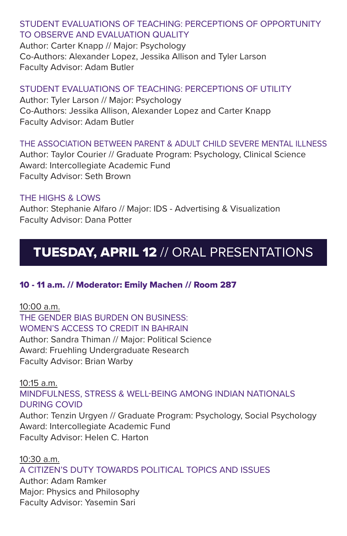## STUDENT EVALUATIONS OF TEACHING: PERCEPTIONS OF OPPORTUNITY TO OBSERVE AND EVALUATION QUALITY

Author: Carter Knapp // Major: Psychology Co-Authors: Alexander Lopez, Jessika Allison and Tyler Larson Faculty Advisor: Adam Butler

## STUDENT EVALUATIONS OF TEACHING: PERCEPTIONS OF UTILITY

Author: Tyler Larson // Major: Psychology Co-Authors: Jessika Allison, Alexander Lopez and Carter Knapp Faculty Advisor: Adam Butler

## THE ASSOCIATION BETWEEN PARENT & ADULT CHILD SEVERE MENTAL ILLNESS

Author: Taylor Courier // Graduate Program: Psychology, Clinical Science Award: Intercollegiate Academic Fund Faculty Advisor: Seth Brown

## THE HIGHS & LOWS

Author: Stephanie Alfaro // Major: IDS - Advertising & Visualization Faculty Advisor: Dana Potter

# TUESDAY, APRIL 12 // ORAL PRESENTATIONS

## 10 - 11 a.m. // Moderator: Emily Machen // Room 287

10:00 a.m. THE GENDER BIAS BURDEN ON BUSINESS: WOMEN'S ACCESS TO CREDIT IN BAHRAIN Author: Sandra Thiman // Major: Political Science Award: Fruehling Undergraduate Research Faculty Advisor: Brian Warby

10:15 a.m. MINDFULNESS, STRESS & WELL-BEING AMONG INDIAN NATIONALS DURING COVID Author: Tenzin Urgyen // Graduate Program: Psychology, Social Psychology Award: Intercollegiate Academic Fund

Faculty Advisor: Helen C. Harton

#### 10:30 a.m. A CITIZEN'S DUTY TOWARDS POLITICAL TOPICS AND ISSUES

Author: Adam Ramker Major: Physics and Philosophy Faculty Advisor: Yasemin Sari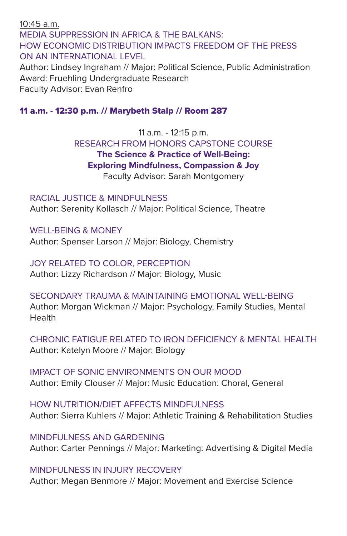10:45 a.m. MEDIA SUPPRESSION IN AFRICA & THE BALKANS: HOW ECONOMIC DISTRIBUTION IMPACTS FREEDOM OF THE PRESS ON AN INTERNATIONAL LEVEL Author: Lindsey Ingraham // Major: Political Science, Public Administration Award: Fruehling Undergraduate Research

Faculty Advisor: Evan Renfro

#### 11 a.m. - 12:30 p.m. // Marybeth Stalp // Room 287

11 a.m. - 12:15 p.m. RESEARCH FROM HONORS CAPSTONE COURSE **The Science & Practice of Well-Being: Exploring Mindfulness, Compassion & Joy** Faculty Advisor: Sarah Montgomery

RACIAL JUSTICE & MINDFULNESS Author: Serenity Kollasch // Major: Political Science, Theatre

## WELL-BEING & MONEY

Author: Spenser Larson // Major: Biology, Chemistry

JOY RELATED TO COLOR, PERCEPTION

Author: Lizzy Richardson // Major: Biology, Music

#### SECONDARY TRAUMA & MAINTAINING EMOTIONAL WELL-BEING

Author: Morgan Wickman // Major: Psychology, Family Studies, Mental Health

CHRONIC FATIGUE RELATED TO IRON DEFICIENCY & MENTAL HEALTH Author: Katelyn Moore // Major: Biology

IMPACT OF SONIC ENVIRONMENTS ON OUR MOOD Author: Emily Clouser // Major: Music Education: Choral, General

HOW NUTRITION/DIET AFFECTS MINDFULNESS Author: Sierra Kuhlers // Major: Athletic Training & Rehabilitation Studies

MINDFULNESS AND GARDENING Author: Carter Pennings // Major: Marketing: Advertising & Digital Media

MINDFULNESS IN INJURY RECOVERY

Author: Megan Benmore // Major: Movement and Exercise Science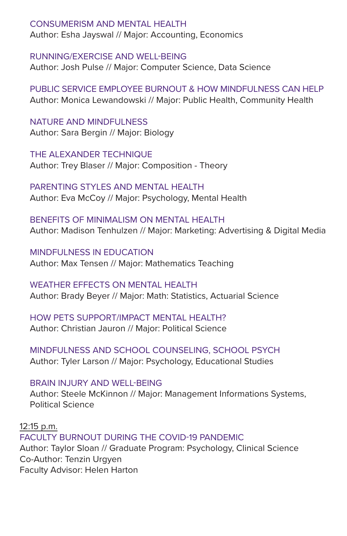## CONSUMERISM AND MENTAL HEALTH

Author: Esha Jayswal // Major: Accounting, Economics

RUNNING/EXERCISE AND WELL-BEING Author: Josh Pulse // Major: Computer Science, Data Science

PUBLIC SERVICE EMPLOYEE BURNOUT & HOW MINDFULNESS CAN HELP Author: Monica Lewandowski // Major: Public Health, Community Health

NATURE AND MINDFULNESS Author: Sara Bergin // Major: Biology

THE ALEXANDER TECHNIQUE Author: Trey Blaser // Major: Composition - Theory

PARENTING STYLES AND MENTAL HEALTH Author: Eva McCoy // Major: Psychology, Mental Health

BENEFITS OF MINIMALISM ON MENTAL HEALTH Author: Madison Tenhulzen // Major: Marketing: Advertising & Digital Media

MINDFULNESS IN EDUCATION Author: Max Tensen // Major: Mathematics Teaching

WEATHER FFFECTS ON MENTAL HEALTH Author: Brady Beyer // Major: Math: Statistics, Actuarial Science

HOW PETS SUPPORT/IMPACT MENTAL HEALTH? Author: Christian Jauron // Major: Political Science

MINDFULNESS AND SCHOOL COUNSELING, SCHOOL PSYCH Author: Tyler Larson // Major: Psychology, Educational Studies

BRAIN INJURY AND WELL-BEING

Author: Steele McKinnon // Major: Management Informations Systems, Political Science

12:15 p.m.

FACULTY BURNOUT DURING THE COVID-19 PANDEMIC Author: Taylor Sloan // Graduate Program: Psychology, Clinical Science Co-Author: Tenzin Urgyen Faculty Advisor: Helen Harton